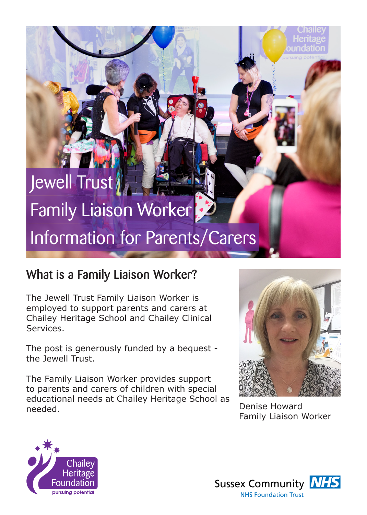# Jewell Trust Family Liaison Worker Information for Parents/Carers

## What is a Family Liaison Worker?

The Jewell Trust Family Liaison Worker is employed to support parents and carers at Chailey Heritage School and Chailey Clinical Services.

The post is generously funded by a bequest the Jewell Trust.

The Family Liaison Worker provides support to parents and carers of children with special educational needs at Chailey Heritage School as needed. Denise Howard



Family Liaison Worker



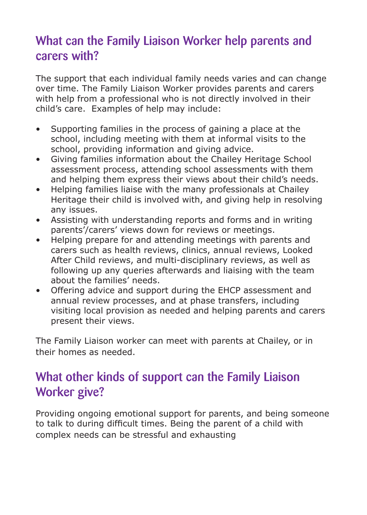## What can the Family Liaison Worker help parents and carers with?

The support that each individual family needs varies and can change over time. The Family Liaison Worker provides parents and carers with help from a professional who is not directly involved in their child's care. Examples of help may include:

- Supporting families in the process of gaining a place at the school, including meeting with them at informal visits to the school, providing information and giving advice.
- Giving families information about the Chailey Heritage School assessment process, attending school assessments with them and helping them express their views about their child's needs.
- Helping families liaise with the many professionals at Chailey Heritage their child is involved with, and giving help in resolving any issues.
- Assisting with understanding reports and forms and in writing parents'/carers' views down for reviews or meetings.
- Helping prepare for and attending meetings with parents and carers such as health reviews, clinics, annual reviews, Looked After Child reviews, and multi-disciplinary reviews, as well as following up any queries afterwards and liaising with the team about the families' needs.
- Offering advice and support during the EHCP assessment and annual review processes, and at phase transfers, including visiting local provision as needed and helping parents and carers present their views.

The Family Liaison worker can meet with parents at Chailey, or in their homes as needed.

## What other kinds of support can the Family Liaison Worker give?

Providing ongoing emotional support for parents, and being someone to talk to during difficult times. Being the parent of a child with complex needs can be stressful and exhausting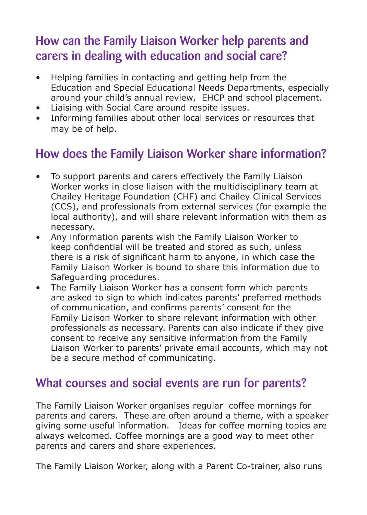## How can the Family Liaison Worker help parents and carers in dealing with education and social care?

- Helping families in contacting and getting help from the Education and Special Educational Needs Departments, especially around your child's annual review, EHCP and school placement.
- Liaising with Social Care around respite issues.
- Informing families about other local services or resources that may be of help.

## How does the Family Liaison Worker share information?

- To support parents and carers effectively the Family Liaison Worker works in close liaison with the multidisciplinary team at Chailey Heritage Foundation (CHF) and Chailey Clinical Services (CCS), and professionals from external services (for example the local authority), and will share relevant information with them as necessary.
- Any information parents wish the Family Liaison Worker to keep confidential will be treated and stored as such, unless there is a risk of significant harm to anyone, in which case the Family Liaison Worker is bound to share this information due to Safeguarding procedures.
- The Family Liaison Worker has a consent form which parents are asked to sign to which indicates parents' preferred methods of communication, and confirms parents' consent for the Family Liaison Worker to share relevant information with other professionals as necessary. Parents can also indicate if they give consent to receive any sensitive information from the Family Liaison Worker to parents' private email accounts, which may not be a secure method of communicating.

## What courses and social events are run for parents?

The Family Liaison Worker organises regular coffee mornings for parents and carers. These are often around a theme, with a speaker giving some useful information. Ideas for coffee morning topics are always welcomed. Coffee mornings are a good way to meet other parents and carers and share experiences.

The Family Liaison Worker, along with a Parent Co-trainer, also runs